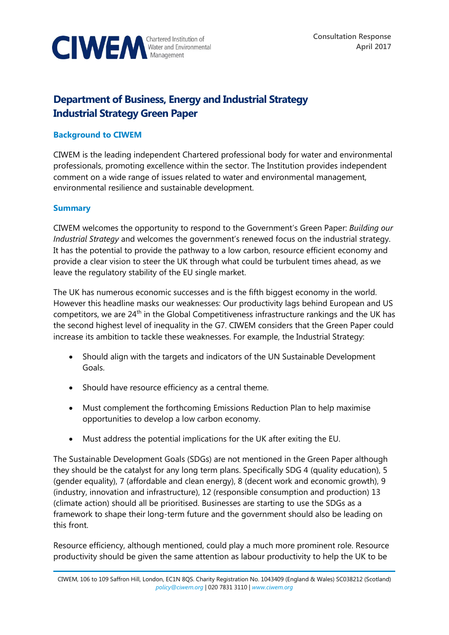

# **Department of Business, Energy and Industrial Strategy Industrial Strategy Green Paper**

# **Background to CIWEM**

CIWEM is the leading independent Chartered professional body for water and environmental professionals, promoting excellence within the sector. The Institution provides independent comment on a wide range of issues related to water and environmental management, environmental resilience and sustainable development.

### **Summary**

CIWEM welcomes the opportunity to respond to the Government's Green Paper: *Building our Industrial Strategy* and welcomes the government's renewed focus on the industrial strategy. It has the potential to provide the pathway to a low carbon, resource efficient economy and provide a clear vision to steer the UK through what could be turbulent times ahead, as we leave the regulatory stability of the EU single market.

The UK has numerous economic successes and is the fifth biggest economy in the world. However this headline masks our weaknesses: Our productivity lags behind European and US competitors, we are 24<sup>th</sup> in the Global Competitiveness infrastructure rankings and the UK has the second highest level of inequality in the G7. CIWEM considers that the Green Paper could increase its ambition to tackle these weaknesses. For example, the Industrial Strategy:

- Should align with the targets and indicators of the UN Sustainable Development Goals.
- Should have resource efficiency as a central theme.
- Must complement the forthcoming Emissions Reduction Plan to help maximise opportunities to develop a low carbon economy.
- Must address the potential implications for the UK after exiting the EU.

The Sustainable Development Goals (SDGs) are not mentioned in the Green Paper although they should be the catalyst for any long term plans. Specifically SDG 4 (quality education), 5 (gender equality), 7 (affordable and clean energy), 8 (decent work and economic growth), 9 (industry, innovation and infrastructure), 12 (responsible consumption and production) 13 (climate action) should all be prioritised. Businesses are starting to use the SDGs as a framework to shape their long-term future and the government should also be leading on this front.

Resource efficiency, although mentioned, could play a much more prominent role. Resource productivity should be given the same attention as labour productivity to help the UK to be

CIWEM, 106 to 109 Saffron Hill, London, EC1N 8QS. Charity Registration No. 1043409 (England & Wales) SC038212 (Scotland) *[policy@ciwem.org](mailto:policy@ciwem.org)* | 020 7831 3110 | *[www.ciwem.org](http://www.ciwem.org/)*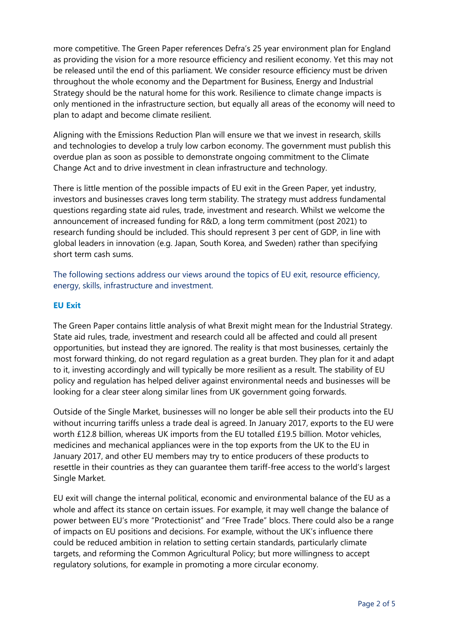more competitive. The Green Paper references Defra's 25 year environment plan for England as providing the vision for a more resource efficiency and resilient economy. Yet this may not be released until the end of this parliament. We consider resource efficiency must be driven throughout the whole economy and the Department for Business, Energy and Industrial Strategy should be the natural home for this work. Resilience to climate change impacts is only mentioned in the infrastructure section, but equally all areas of the economy will need to plan to adapt and become climate resilient.

Aligning with the Emissions Reduction Plan will ensure we that we invest in research, skills and technologies to develop a truly low carbon economy. The government must publish this overdue plan as soon as possible to demonstrate ongoing commitment to the Climate Change Act and to drive investment in clean infrastructure and technology.

There is little mention of the possible impacts of EU exit in the Green Paper, yet industry, investors and businesses craves long term stability. The strategy must address fundamental questions regarding state aid rules, trade, investment and research. Whilst we welcome the announcement of increased funding for R&D, a long term commitment (post 2021) to research funding should be included. This should represent 3 per cent of GDP, in line with global leaders in innovation (e.g. Japan, South Korea, and Sweden) rather than specifying short term cash sums.

The following sections address our views around the topics of EU exit, resource efficiency, energy, skills, infrastructure and investment.

# **EU Exit**

The Green Paper contains little analysis of what Brexit might mean for the Industrial Strategy. State aid rules, trade, investment and research could all be affected and could all present opportunities, but instead they are ignored. The reality is that most businesses, certainly the most forward thinking, do not regard regulation as a great burden. They plan for it and adapt to it, investing accordingly and will typically be more resilient as a result. The stability of EU policy and regulation has helped deliver against environmental needs and businesses will be looking for a clear steer along similar lines from UK government going forwards.

Outside of the Single Market, businesses will no longer be able sell their products into the EU without incurring tariffs unless a trade deal is agreed. In January 2017, exports to the EU were worth £12.8 billion, whereas UK imports from the EU totalled £19.5 billion. Motor vehicles, medicines and mechanical appliances were in the top exports from the UK to the EU in January 2017, and other EU members may try to entice producers of these products to resettle in their countries as they can guarantee them tariff-free access to the world's largest Single Market.

EU exit will change the internal political, economic and environmental balance of the EU as a whole and affect its stance on certain issues. For example, it may well change the balance of power between EU's more "Protectionist" and "Free Trade" blocs. There could also be a range of impacts on EU positions and decisions. For example, without the UK's influence there could be reduced ambition in relation to setting certain standards, particularly climate targets, and reforming the Common Agricultural Policy; but more willingness to accept regulatory solutions, for example in promoting a more circular economy.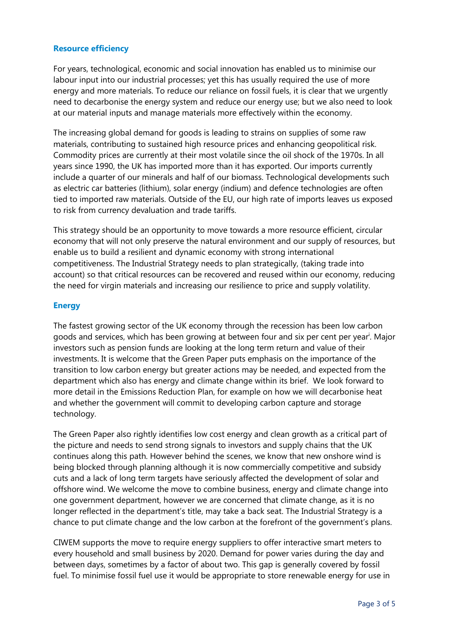# **Resource efficiency**

For years, technological, economic and social innovation has enabled us to minimise our labour input into our industrial processes; yet this has usually required the use of more energy and more materials. To reduce our reliance on fossil fuels, it is clear that we urgently need to decarbonise the energy system and reduce our energy use; but we also need to look at our material inputs and manage materials more effectively within the economy.

The increasing global demand for goods is leading to strains on supplies of some raw materials, contributing to sustained high resource prices and enhancing geopolitical risk. Commodity prices are currently at their most volatile since the oil shock of the 1970s. In all years since 1990, the UK has imported more than it has exported. Our imports currently include a quarter of our minerals and half of our biomass. Technological developments such as electric car batteries (lithium), solar energy (indium) and defence technologies are often tied to imported raw materials. Outside of the EU, our high rate of imports leaves us exposed to risk from currency devaluation and trade tariffs.

This strategy should be an opportunity to move towards a more resource efficient, circular economy that will not only preserve the natural environment and our supply of resources, but enable us to build a resilient and dynamic economy with strong international competitiveness. The Industrial Strategy needs to plan strategically, (taking trade into account) so that critical resources can be recovered and reused within our economy, reducing the need for virgin materials and increasing our resilience to price and supply volatility.

# **Energy**

The fastest growing sector of the UK economy through the recession has been low carbon goods and services, which has been growing at between four and six per cent per year<sup>i</sup>. Major investors such as pension funds are looking at the long term return and value of their investments. It is welcome that the Green Paper puts emphasis on the importance of the transition to low carbon energy but greater actions may be needed, and expected from the department which also has energy and climate change within its brief. We look forward to more detail in the Emissions Reduction Plan, for example on how we will decarbonise heat and whether the government will commit to developing carbon capture and storage technology.

The Green Paper also rightly identifies low cost energy and clean growth as a critical part of the picture and needs to send strong signals to investors and supply chains that the UK continues along this path. However behind the scenes, we know that new onshore wind is being blocked through planning although it is now commercially competitive and subsidy cuts and a lack of long term targets have seriously affected the development of solar and offshore wind. We welcome the move to combine business, energy and climate change into one government department, however we are concerned that climate change, as it is no longer reflected in the department's title, may take a back seat. The Industrial Strategy is a chance to put climate change and the low carbon at the forefront of the government's plans.

CIWEM supports the move to require energy suppliers to offer interactive smart meters to every household and small business by 2020. Demand for power varies during the day and between days, sometimes by a factor of about two. This gap is generally covered by fossil fuel. To minimise fossil fuel use it would be appropriate to store renewable energy for use in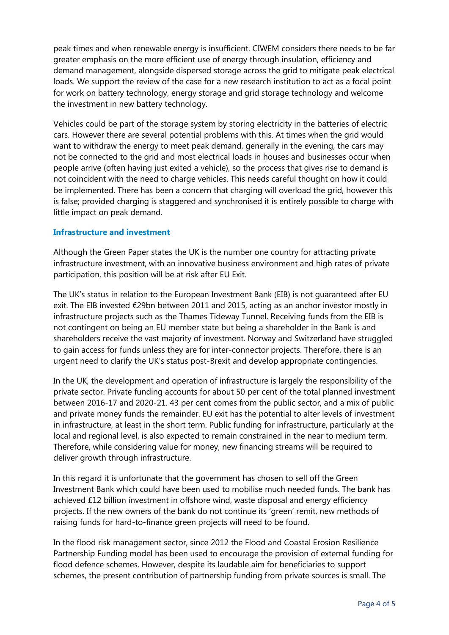peak times and when renewable energy is insufficient. CIWEM considers there needs to be far greater emphasis on the more efficient use of energy through insulation, efficiency and demand management, alongside dispersed storage across the grid to mitigate peak electrical loads. We support the review of the case for a new research institution to act as a focal point for work on battery technology, energy storage and grid storage technology and welcome the investment in new battery technology.

Vehicles could be part of the storage system by storing electricity in the batteries of electric cars. However there are several potential problems with this. At times when the grid would want to withdraw the energy to meet peak demand, generally in the evening, the cars may not be connected to the grid and most electrical loads in houses and businesses occur when people arrive (often having just exited a vehicle), so the process that gives rise to demand is not coincident with the need to charge vehicles. This needs careful thought on how it could be implemented. There has been a concern that charging will overload the grid, however this is false; provided charging is staggered and synchronised it is entirely possible to charge with little impact on peak demand.

### **Infrastructure and investment**

Although the Green Paper states the UK is the number one country for attracting private infrastructure investment, with an innovative business environment and high rates of private participation, this position will be at risk after EU Exit.

The UK's status in relation to the European Investment Bank (EIB) is not guaranteed after EU exit. The EIB invested €29bn between 2011 and 2015, acting as an anchor investor mostly in infrastructure projects such as the Thames Tideway Tunnel. Receiving funds from the EIB is not contingent on being an EU member state but being a shareholder in the Bank is and shareholders receive the vast majority of investment. Norway and Switzerland have struggled to gain access for funds unless they are for inter-connector projects. Therefore, there is an urgent need to clarify the UK's status post-Brexit and develop appropriate contingencies.

In the UK, the development and operation of infrastructure is largely the responsibility of the private sector. Private funding accounts for about 50 per cent of the total planned investment between 2016-17 and 2020-21. 43 per cent comes from the public sector, and a mix of public and private money funds the remainder. EU exit has the potential to alter levels of investment in infrastructure, at least in the short term. Public funding for infrastructure, particularly at the local and regional level, is also expected to remain constrained in the near to medium term. Therefore, while considering value for money, new financing streams will be required to deliver growth through infrastructure.

In this regard it is unfortunate that the government has chosen to sell off the Green Investment Bank which could have been used to mobilise much needed funds. The bank has achieved £12 billion investment in offshore wind, waste disposal and energy efficiency projects. If the new owners of the bank do not continue its 'green' remit, new methods of raising funds for hard-to-finance green projects will need to be found.

In the flood risk management sector, since 2012 the Flood and Coastal Erosion Resilience Partnership Funding model has been used to encourage the provision of external funding for flood defence schemes. However, despite its laudable aim for beneficiaries to support schemes, the present contribution of partnership funding from private sources is small. The